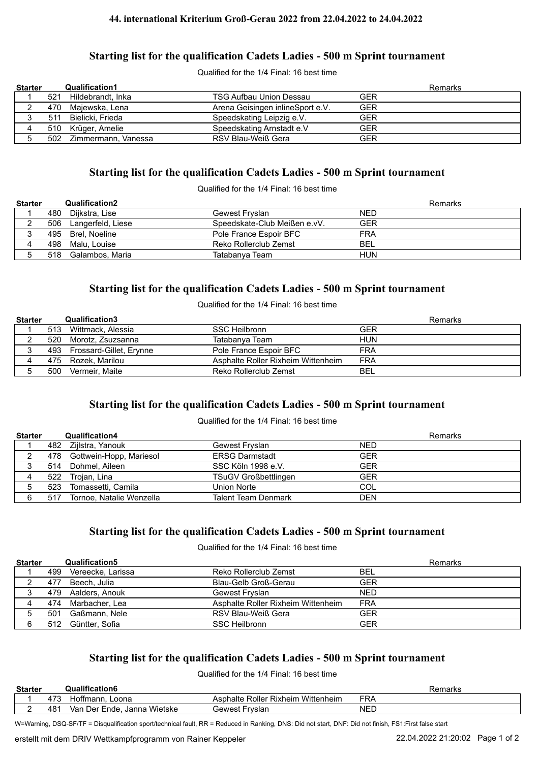#### **44. international Kriterium Groß-Gerau 2022 from 22.04.2022 to 24.04.2022**

## **Starting list for the qualification Cadets Ladies - 500 m Sprint tournament**

Qualified for the 1/4 Final: 16 best time

| <b>Starter</b> |     | <b>Qualification1</b>   |                                  |            | Remarks |
|----------------|-----|-------------------------|----------------------------------|------------|---------|
|                | 521 | Hildebrandt, Inka       | <b>TSG Aufbau Union Dessau</b>   | <b>GER</b> |         |
|                |     | 470 Majewska, Lena      | Arena Geisingen inlineSport e.V. | <b>GER</b> |         |
|                | 511 | Bielicki, Frieda        | Speedskating Leipzig e.V.        | <b>GER</b> |         |
|                |     | 510 Krüger, Amelie      | Speedskating Arnstadt e.V        | <b>GER</b> |         |
|                |     | 502 Zimmermann, Vanessa | RSV Blau-Weiß Gera               | <b>GER</b> |         |

#### **Starting list for the qualification Cadets Ladies - 500 m Sprint tournament**

Qualified for the 1/4 Final: 16 best time

| <b>Starter</b> |     | <b>Qualification2</b> |                              | Remarks    |
|----------------|-----|-----------------------|------------------------------|------------|
|                |     | 480 Dijkstra, Lise    | Gewest Fryslan               | <b>NED</b> |
|                | 506 | Langerfeld, Liese     | Speedskate-Club Meißen e.vV. | <b>GER</b> |
|                |     | 495 Brel, Noeline     | Pole France Espoir BFC       | FRA        |
|                |     | 498 Malu, Louise      | Reko Rollerclub Zemst        | <b>BEL</b> |
|                |     | 518 Galambos, Maria   | Tatabanva Team               | <b>HUN</b> |

## **Starting list for the qualification Cadets Ladies - 500 m Sprint tournament**

Qualified for the 1/4 Final: 16 best time

| <b>Starter</b> |     | Qualification3              |                                    | Remarks    |
|----------------|-----|-----------------------------|------------------------------------|------------|
|                |     | 513 Wittmack, Alessia       | <b>SSC Heilbronn</b>               | GER        |
|                |     | 520 Morotz, Zsuzsanna       | Tatabanva Team                     | <b>HUN</b> |
|                |     | 493 Frossard-Gillet, Erynne | Pole France Espoir BFC             | <b>FRA</b> |
|                |     | 475 Rozek, Marilou          | Asphalte Roller Rixheim Wittenheim | <b>FRA</b> |
|                | 500 | Vermeir. Maite              | Reko Rollerclub Zemst              | BEL        |

# **Starting list for the qualification Cadets Ladies - 500 m Sprint tournament**

#### Qualified for the 1/4 Final: 16 best time

| <b>Starter</b> |     | <b>Qualification4</b>       |                             | Remarks    |
|----------------|-----|-----------------------------|-----------------------------|------------|
|                |     | 482 Zijlstra, Yanouk        | Gewest Fryslan              | <b>NED</b> |
|                |     | 478 Gottwein-Hopp, Mariesol | <b>ERSG Darmstadt</b>       | <b>GER</b> |
|                |     | 514 Dohmel, Aileen          | SSC Köln 1998 e.V.          | <b>GER</b> |
|                |     | 522 Trojan, Lina            | <b>TSuGV Großbettlingen</b> | <b>GER</b> |
|                | 523 | Tomassetti, Camila          | Union Norte                 | COL        |
|                | 517 | Tornoe, Natalie Wenzella    | Talent Team Denmark         | <b>DEN</b> |

#### **Starting list for the qualification Cadets Ladies - 500 m Sprint tournament**

Qualified for the 1/4 Final: 16 best time

| <b>Starter</b> |     | Qualification5     |                                    |            | Remarks |
|----------------|-----|--------------------|------------------------------------|------------|---------|
|                | 499 | Vereecke, Larissa  | Reko Rollerclub Zemst              | BEL        |         |
|                | 477 | Beech, Julia       | Blau-Gelb Groß-Gerau               | <b>GER</b> |         |
|                |     | 479 Aalders, Anouk | Gewest Fryslan                     | <b>NED</b> |         |
|                |     | 474 Marbacher, Lea | Asphalte Roller Rixheim Wittenheim | FRA        |         |
|                | 501 | Gaßmann, Nele      | RSV Blau-Weiß Gera                 | GER        |         |
|                |     | 512 Güntter, Sofia | <b>SSC Heilbronn</b>               | <b>GER</b> |         |

# **Starting list for the qualification Cadets Ladies - 500 m Sprint tournament**

Qualified for the 1/4 Final: 16 best time

| <b>Starter</b> |                 | Qualification6                      |                                          | 'amarke<br><b>Tidi KS</b><br>וסר |
|----------------|-----------------|-------------------------------------|------------------------------------------|----------------------------------|
|                |                 | Loona<br>mann.<br>ΙΟΠΙ              | Wittenheim<br>Roller Rixheim<br>Asphalte | FRA                              |
|                | 48 <sup>2</sup> | . Janna Wietske<br>Der Ende.<br>Van | Fryslan<br>Gewest                        | <b>NEL</b>                       |

W=Warning, DSQ-SF/TF = Disqualification sport/technical fault, RR = Reduced in Ranking, DNS: Did not start, DNF: Did not finish, FS1:First false start